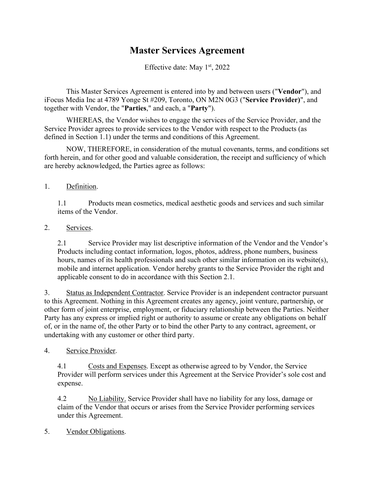## **Master Services Agreement**

Effective date: May 1st, 2022

This Master Services Agreement is entered into by and between users ("**Vendor**"), and iFocus Media Inc at 4789 Yonge St #209, Toronto, ON M2N 0G3 ("**Service Provider)**", and together with Vendor, the "**Parties**," and each, a "**Party**").

WHEREAS, the Vendor wishes to engage the services of the Service Provider, and the Service Provider agrees to provide services to the Vendor with respect to the Products (as defined in Section 1.1) under the terms and conditions of this Agreement.

NOW, THEREFORE, in consideration of the mutual covenants, terms, and conditions set forth herein, and for other good and valuable consideration, the receipt and sufficiency of which are hereby acknowledged, the Parties agree as follows:

1. Definition.

1.1 Products mean cosmetics, medical aesthetic goods and services and such similar items of the Vendor.

2. Services.

2.1 Service Provider may list descriptive information of the Vendor and the Vendor's Products including contact information, logos, photos, address, phone numbers, business hours, names of its health professionals and such other similar information on its website(s), mobile and internet application. Vendor hereby grants to the Service Provider the right and applicable consent to do in accordance with this Section 2.1.

3. Status as Independent Contractor. Service Provider is an independent contractor pursuant to this Agreement. Nothing in this Agreement creates any agency, joint venture, partnership, or other form of joint enterprise, employment, or fiduciary relationship between the Parties. Neither Party has any express or implied right or authority to assume or create any obligations on behalf of, or in the name of, the other Party or to bind the other Party to any contract, agreement, or undertaking with any customer or other third party.

4. Service Provider.

4.1 Costs and Expenses. Except as otherwise agreed to by Vendor, the Service Provider will perform services under this Agreement at the Service Provider's sole cost and expense.

4.2 No Liability. Service Provider shall have no liability for any loss, damage or claim of the Vendor that occurs or arises from the Service Provider performing services under this Agreement.

5. Vendor Obligations.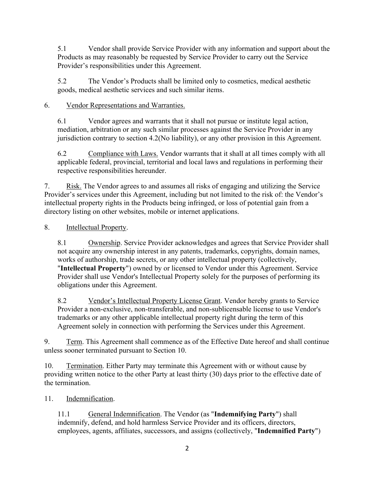5.1 Vendor shall provide Service Provider with any information and support about the Products as may reasonably be requested by Service Provider to carry out the Service Provider's responsibilities under this Agreement.

5.2 The Vendor's Products shall be limited only to cosmetics, medical aesthetic goods, medical aesthetic services and such similar items.

## 6. Vendor Representations and Warranties.

6.1 Vendor agrees and warrants that it shall not pursue or institute legal action, mediation, arbitration or any such similar processes against the Service Provider in any jurisdiction contrary to section 4.2(No liability), or any other provision in this Agreement.

6.2 Compliance with Laws. Vendor warrants that it shall at all times comply with all applicable federal, provincial, territorial and local laws and regulations in performing their respective responsibilities hereunder.

7. Risk. The Vendor agrees to and assumes all risks of engaging and utilizing the Service Provider's services under this Agreement, including but not limited to the risk of: the Vendor's intellectual property rights in the Products being infringed, or loss of potential gain from a directory listing on other websites, mobile or internet applications.

8. **Intellectual Property.** 

8.1 Ownership. Service Provider acknowledges and agrees that Service Provider shall not acquire any ownership interest in any patents, trademarks, copyrights, domain names, works of authorship, trade secrets, or any other intellectual property (collectively, "**Intellectual Property**") owned by or licensed to Vendor under this Agreement. Service Provider shall use Vendor's Intellectual Property solely for the purposes of performing its obligations under this Agreement.

8.2 Vendor's Intellectual Property License Grant. Vendor hereby grants to Service Provider a non-exclusive, non-transferable, and non-sublicensable license to use Vendor's trademarks or any other applicable intellectual property right during the term of this Agreement solely in connection with performing the Services under this Agreement.

9. Term. This Agreement shall commence as of the Effective Date hereof and shall continue unless sooner terminated pursuant to Section 10.

10. Termination. Either Party may terminate this Agreement with or without cause by providing written notice to the other Party at least thirty (30) days prior to the effective date of the termination.

11. Indemnification.

11.1 General Indemnification. The Vendor (as "**Indemnifying Party**") shall indemnify, defend, and hold harmless Service Provider and its officers, directors, employees, agents, affiliates, successors, and assigns (collectively, "**Indemnified Party**")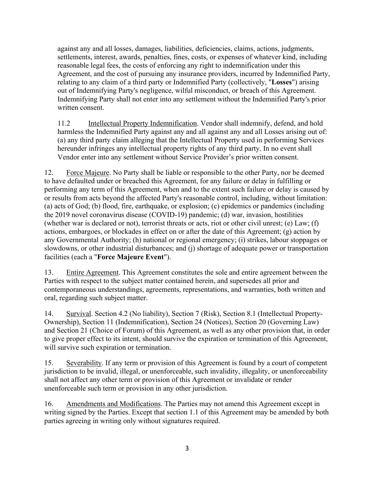against any and all losses, damages, liabilities, deficiencies, claims, actions, judgments, settlements, interest, awards, penalties, fines, costs, or expenses of whatever kind, including reasonable legal fees, the costs of enforcing any right to indemnification under this Agreement, and the cost of pursuing any insurance providers, incurred by Indemnified Party, relating to any claim of a third party or Indemnified Party (collectively, "**Losses**") arising out of Indemnifying Party's negligence, wilful misconduct, or breach of this Agreement. Indemnifying Party shall not enter into any settlement without the Indemnified Party's prior written consent.

11.2 Intellectual Property Indemnification. Vendor shall indemnify, defend, and hold harmless the Indemnified Party against any and all against any and all Losses arising out of: (a) any third party claim alleging that the Intellectual Property used in performing Services hereunder infringes any intellectual property rights of any third party. In no event shall Vendor enter into any settlement without Service Provider's prior written consent.

12. Force Majeure. No Party shall be liable or responsible to the other Party, nor be deemed to have defaulted under or breached this Agreement, for any failure or delay in fulfilling or performing any term of this Agreement, when and to the extent such failure or delay is caused by or results from acts beyond the affected Party's reasonable control, including, without limitation: (a) acts of God; (b) flood, fire, earthquake, or explosion; (c) epidemics or pandemics (including the 2019 novel coronavirus disease (COVID-19) pandemic; (d) war, invasion, hostilities (whether war is declared or not), terrorist threats or acts, riot or other civil unrest; (e) Law; (f) actions, embargoes, or blockades in effect on or after the date of this Agreement; (g) action by any Governmental Authority; (h) national or regional emergency; (i) strikes, labour stoppages or slowdowns, or other industrial disturbances; and (j) shortage of adequate power or transportation facilities (each a "**Force Majeure Event**").

13. Entire Agreement. This Agreement constitutes the sole and entire agreement between the Parties with respect to the subject matter contained herein, and supersedes all prior and contemporaneous understandings, agreements, representations, and warranties, both written and oral, regarding such subject matter.

14. Survival. Section 4.2 (No liability), Section 7 (Risk), Section 8.1 (Intellectual Property-Ownership), Section 11 (Indemnification), Section 24 (Notices), Section 20 (Governing Law) and Section 21 (Choice of Forum) of this Agreement, as well as any other provision that, in order to give proper effect to its intent, should survive the expiration or termination of this Agreement, will survive such expiration or termination.

15. Severability. If any term or provision of this Agreement is found by a court of competent jurisdiction to be invalid, illegal, or unenforceable, such invalidity, illegality, or unenforceability shall not affect any other term or provision of this Agreement or invalidate or render unenforceable such term or provision in any other jurisdiction.

16. Amendments and Modifications. The Parties may not amend this Agreement except in writing signed by the Parties. Except that section 1.1 of this Agreement may be amended by both parties agreeing in writing only without signatures required.